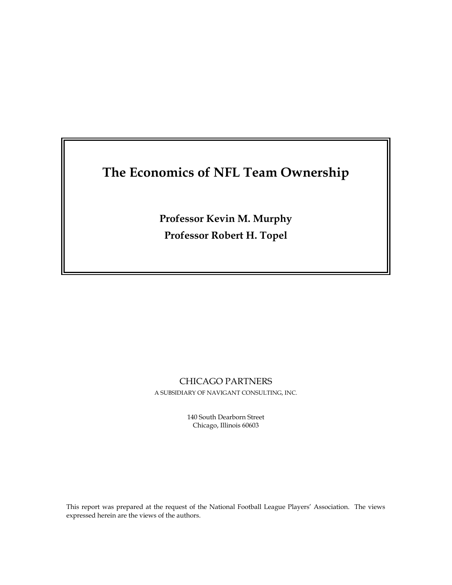# **The Economics of NFL Team Ownership**

**Professor Kevin M. Murphy Professor Robert H. Topel** 

# CHICAGO PARTNERS

A SUBSIDIARY OF NAVIGANT CONSULTING, INC.

140 South Dearborn Street Chicago, Illinois 60603

This report was prepared at the request of the National Football League Players' Association. The views expressed herein are the views of the authors.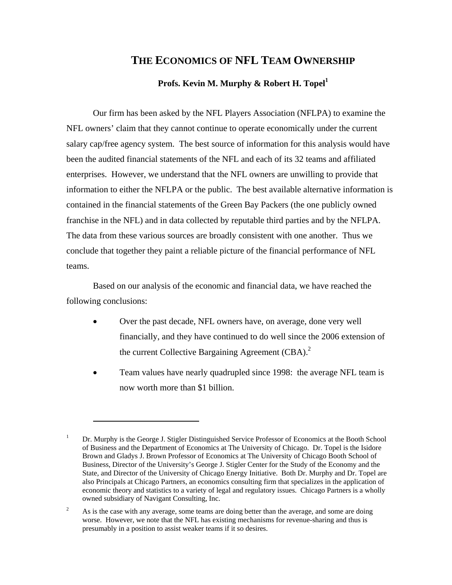# **THE ECONOMICS OF NFL TEAM OWNERSHIP**

# Profs. Kevin M. Murphy & Robert H. Topel<sup>1</sup>

Our firm has been asked by the NFL Players Association (NFLPA) to examine the NFL owners' claim that they cannot continue to operate economically under the current salary cap/free agency system. The best source of information for this analysis would have been the audited financial statements of the NFL and each of its 32 teams and affiliated enterprises. However, we understand that the NFL owners are unwilling to provide that information to either the NFLPA or the public. The best available alternative information is contained in the financial statements of the Green Bay Packers (the one publicly owned franchise in the NFL) and in data collected by reputable third parties and by the NFLPA. The data from these various sources are broadly consistent with one another. Thus we conclude that together they paint a reliable picture of the financial performance of NFL teams.

Based on our analysis of the economic and financial data, we have reached the following conclusions:

- Over the past decade, NFL owners have, on average, done very well financially, and they have continued to do well since the 2006 extension of the current Collective Bargaining Agreement (CBA).<sup>2</sup>
- Team values have nearly quadrupled since 1998: the average NFL team is now worth more than \$1 billion.

 $\overline{a}$ 

<sup>1</sup> Dr. Murphy is the George J. Stigler Distinguished Service Professor of Economics at the Booth School of Business and the Department of Economics at The University of Chicago. Dr. Topel is the Isidore Brown and Gladys J. Brown Professor of Economics at The University of Chicago Booth School of Business, Director of the University's George J. Stigler Center for the Study of the Economy and the State, and Director of the University of Chicago Energy Initiative. Both Dr. Murphy and Dr. Topel are also Principals at Chicago Partners, an economics consulting firm that specializes in the application of economic theory and statistics to a variety of legal and regulatory issues. Chicago Partners is a wholly owned subsidiary of Navigant Consulting, Inc.

<sup>2</sup> As is the case with any average, some teams are doing better than the average, and some are doing worse. However, we note that the NFL has existing mechanisms for revenue-sharing and thus is presumably in a position to assist weaker teams if it so desires.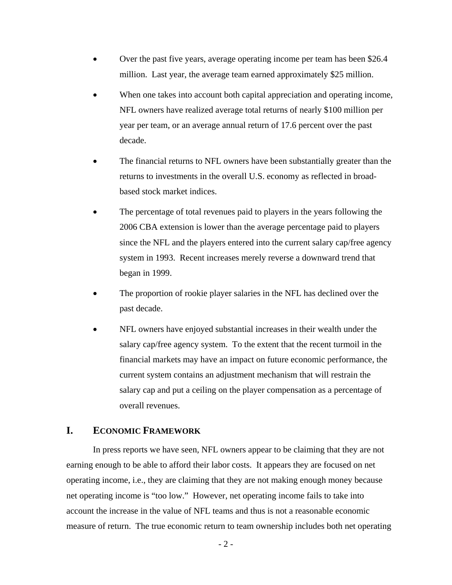- Over the past five years, average operating income per team has been \$26.4 million. Last year, the average team earned approximately \$25 million.
- When one takes into account both capital appreciation and operating income, NFL owners have realized average total returns of nearly \$100 million per year per team, or an average annual return of 17.6 percent over the past decade.
- The financial returns to NFL owners have been substantially greater than the returns to investments in the overall U.S. economy as reflected in broadbased stock market indices.
- The percentage of total revenues paid to players in the years following the 2006 CBA extension is lower than the average percentage paid to players since the NFL and the players entered into the current salary cap/free agency system in 1993. Recent increases merely reverse a downward trend that began in 1999.
- The proportion of rookie player salaries in the NFL has declined over the past decade.
- NFL owners have enjoyed substantial increases in their wealth under the salary cap/free agency system. To the extent that the recent turmoil in the financial markets may have an impact on future economic performance, the current system contains an adjustment mechanism that will restrain the salary cap and put a ceiling on the player compensation as a percentage of overall revenues.

## **I. ECONOMIC FRAMEWORK**

In press reports we have seen, NFL owners appear to be claiming that they are not earning enough to be able to afford their labor costs. It appears they are focused on net operating income, i.e., they are claiming that they are not making enough money because net operating income is "too low." However, net operating income fails to take into account the increase in the value of NFL teams and thus is not a reasonable economic measure of return. The true economic return to team ownership includes both net operating

 $-2$  -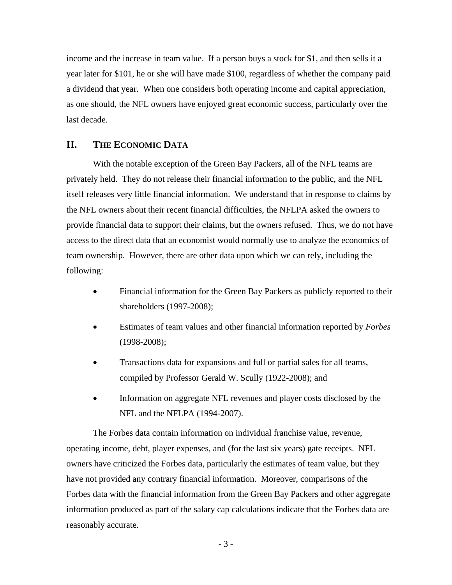income and the increase in team value. If a person buys a stock for \$1, and then sells it a year later for \$101, he or she will have made \$100, regardless of whether the company paid a dividend that year. When one considers both operating income and capital appreciation, as one should, the NFL owners have enjoyed great economic success, particularly over the last decade.

## **II. THE ECONOMIC DATA**

With the notable exception of the Green Bay Packers, all of the NFL teams are privately held. They do not release their financial information to the public, and the NFL itself releases very little financial information. We understand that in response to claims by the NFL owners about their recent financial difficulties, the NFLPA asked the owners to provide financial data to support their claims, but the owners refused. Thus, we do not have access to the direct data that an economist would normally use to analyze the economics of team ownership. However, there are other data upon which we can rely, including the following:

- Financial information for the Green Bay Packers as publicly reported to their shareholders (1997-2008);
- Estimates of team values and other financial information reported by *Forbes* (1998-2008);
- Transactions data for expansions and full or partial sales for all teams, compiled by Professor Gerald W. Scully (1922-2008); and
- Information on aggregate NFL revenues and player costs disclosed by the NFL and the NFLPA (1994-2007).

The Forbes data contain information on individual franchise value, revenue, operating income, debt, player expenses, and (for the last six years) gate receipts. NFL owners have criticized the Forbes data, particularly the estimates of team value, but they have not provided any contrary financial information. Moreover, comparisons of the Forbes data with the financial information from the Green Bay Packers and other aggregate information produced as part of the salary cap calculations indicate that the Forbes data are reasonably accurate.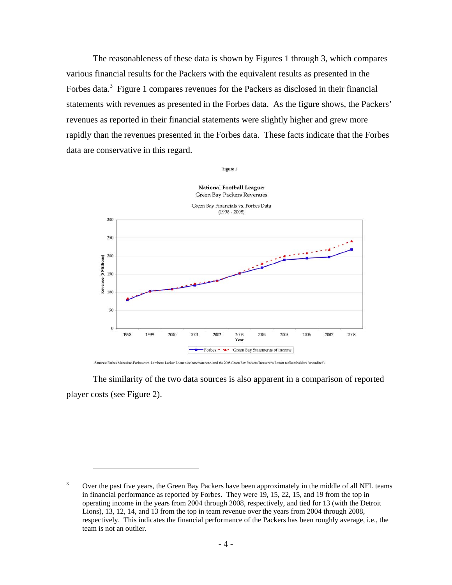The reasonableness of these data is shown by Figures 1 through 3, which compares various financial results for the Packers with the equivalent results as presented in the Forbes data.<sup>3</sup> Figure 1 compares revenues for the Packers as disclosed in their financial statements with revenues as presented in the Forbes data. As the figure shows, the Packers' revenues as reported in their financial statements were slightly higher and grew more rapidly than the revenues presented in the Forbes data. These facts indicate that the Forbes data are conservative in this regard.



Sources: Forbes Magazine, Forbes.com, Lambeau Locker Room <joe.bowman.net>, and the 2008 Green Bay Packers Treasurer's Report to Shareholders (unaudited)

1

The similarity of the two data sources is also apparent in a comparison of reported player costs (see Figure 2).

<sup>3</sup> Over the past five years, the Green Bay Packers have been approximately in the middle of all NFL teams in financial performance as reported by Forbes. They were 19, 15, 22, 15, and 19 from the top in operating income in the years from 2004 through 2008, respectively, and tied for 13 (with the Detroit Lions), 13, 12, 14, and 13 from the top in team revenue over the years from 2004 through 2008, respectively. This indicates the financial performance of the Packers has been roughly average, i.e., the team is not an outlier.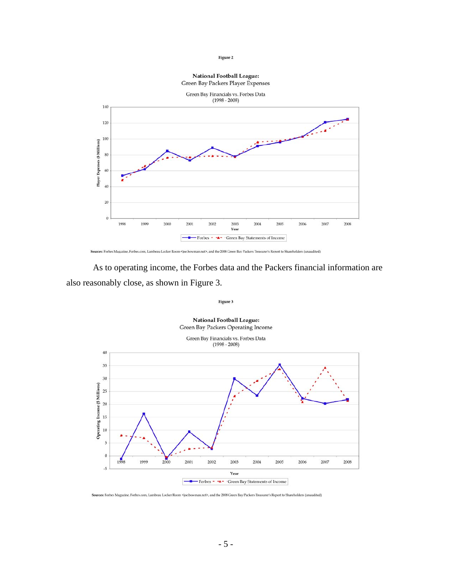#### **National Football League:** Green Bay Packers Player Expenses



Sources: Forbes Magazine, Forbes.com, Lambeau Locker Room <a>specbowman.net>, and the 2008 Green Bay Packers Treasurer's Report to Shareholders (unaudited)

As to operating income, the Forbes data and the Packers financial information are also reasonably close, as shown in Figure 3.



Sources: Forbes Magazine, Forbes.com, Lambeau Locker Room <poe.bowman.net>, and the 2008 Green Bay Packers Treasurer's Report to Shareholders (unaudited)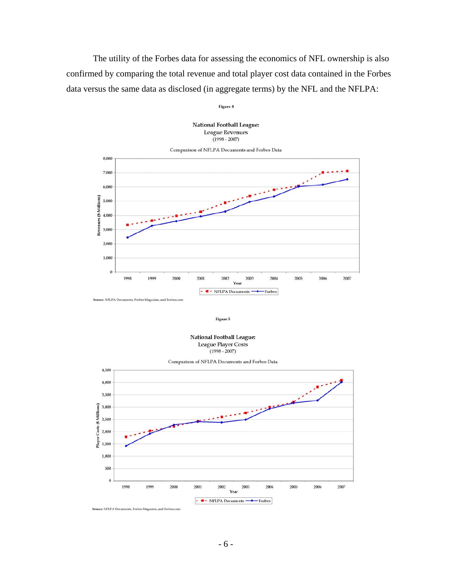The utility of the Forbes data for assessing the economics of NFL ownership is also confirmed by comparing the total revenue and total player cost data contained in the Forbes data versus the same data as disclosed (in aggregate terms) by the NFL and the NFLPA:

Figure 4

**National Football League: League Revenues**  $(1998 - 2007)$ 



Figure 5

**National Football League:** League Player Costs  $(1998 - 2007)$ 



Comparison of NFLPA Documents and Forbes Data

Source: NFLPA Documents, Forbes Magazine, and Forbes.com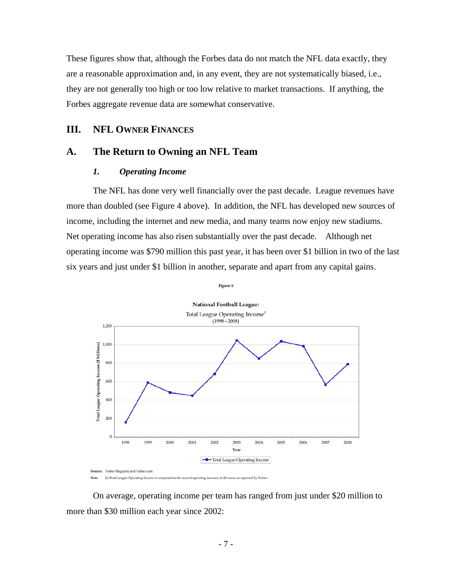These figures show that, although the Forbes data do not match the NFL data exactly, they are a reasonable approximation and, in any event, they are not systematically biased, i.e., they are not generally too high or too low relative to market transactions. If anything, the Forbes aggregate revenue data are somewhat conservative.

## **III. NFL OWNER FINANCES**

# **A. The Return to Owning an NFL Team**

#### *1. Operating Income*

The NFL has done very well financially over the past decade. League revenues have more than doubled (see Figure 4 above). In addition, the NFL has developed new sources of income, including the internet and new media, and many teams now enjoy new stadiums. Net operating income has also risen substantially over the past decade. Although net operating income was \$790 million this past year, it has been over \$1 billion in two of the last six years and just under \$1 billion in another, separate and apart from any capital gains.





Note: (1) Total League Operating Income is computed as the sum of operating incomes of all teams, as reported by Forbes

On average, operating income per team has ranged from just under \$20 million to more than \$30 million each year since 2002: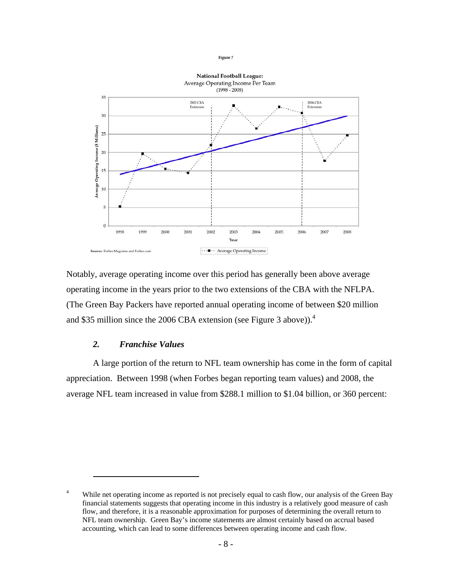

Notably, average operating income over this period has generally been above average operating income in the years prior to the two extensions of the CBA with the NFLPA. (The Green Bay Packers have reported annual operating income of between \$20 million and \$35 million since the 2006 CBA extension (see Figure 3 above)).<sup>4</sup>

#### *2. Franchise Values*

1

A large portion of the return to NFL team ownership has come in the form of capital appreciation. Between 1998 (when Forbes began reporting team values) and 2008, the average NFL team increased in value from \$288.1 million to \$1.04 billion, or 360 percent:

<sup>4</sup> While net operating income as reported is not precisely equal to cash flow, our analysis of the Green Bay financial statements suggests that operating income in this industry is a relatively good measure of cash flow, and therefore, it is a reasonable approximation for purposes of determining the overall return to NFL team ownership. Green Bay's income statements are almost certainly based on accrual based accounting, which can lead to some differences between operating income and cash flow.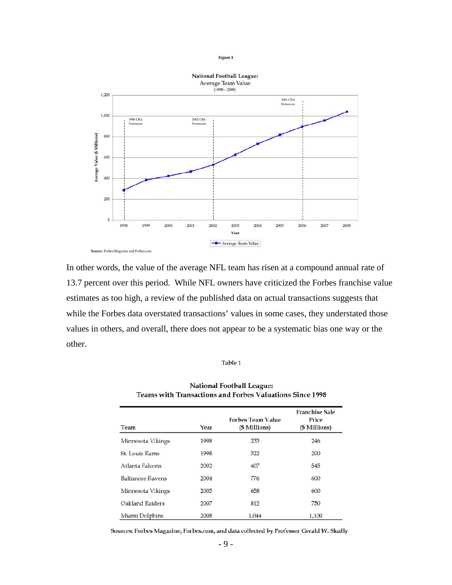

In other words, the value of the average NFL team has risen at a compound annual rate of 13.7 percent over this period. While NFL owners have criticized the Forbes franchise value estimates as too high, a review of the published data on actual transactions suggests that while the Forbes data overstated transactions' values in some cases, they understated those values in others, and overall, there does not appear to be a systematic bias one way or the other.

#### Table 1

| Team                    | Year | <b>Forbes Team Value</b><br>(\$ Millions) | <b>Franchise Sale</b><br>Price<br>(\$ Millions) |
|-------------------------|------|-------------------------------------------|-------------------------------------------------|
| Minnesota Vikings       | 1998 | 233                                       | 246                                             |
| St. Louis Rams          | 1998 | 322                                       | 200                                             |
| Atlanta Falcons         | 2002 | 407                                       | 545                                             |
| <b>Baltimore Ravens</b> | 2004 | 776                                       | 600                                             |
| Minnesota Vikings       | 2005 | 658                                       | 600                                             |
| Oakland Raiders         | 2007 | 812                                       | 750                                             |
| Miami Dolphins          | 2008 | 1,044                                     | 1,100                                           |

### **National Football League:** Teams with Transactions and Forbes Valuations Since 1998

Sources: Forbes Magazine, Forbes.com, and data collected by Professor Gerald W. Skully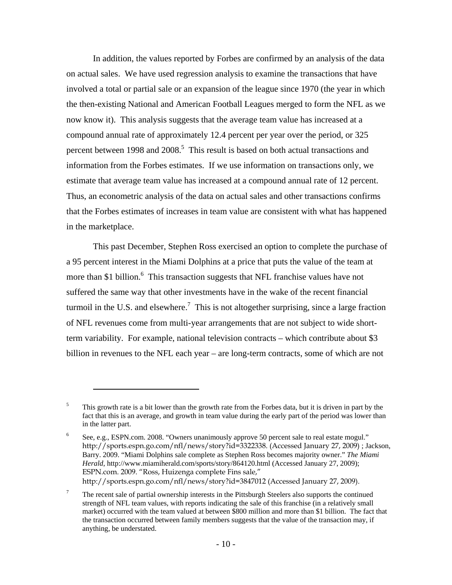In addition, the values reported by Forbes are confirmed by an analysis of the data on actual sales. We have used regression analysis to examine the transactions that have involved a total or partial sale or an expansion of the league since 1970 (the year in which the then-existing National and American Football Leagues merged to form the NFL as we now know it). This analysis suggests that the average team value has increased at a compound annual rate of approximately 12.4 percent per year over the period, or 325 percent between 1998 and  $2008$ <sup>5</sup>. This result is based on both actual transactions and information from the Forbes estimates. If we use information on transactions only, we estimate that average team value has increased at a compound annual rate of 12 percent. Thus, an econometric analysis of the data on actual sales and other transactions confirms that the Forbes estimates of increases in team value are consistent with what has happened in the marketplace.

This past December, Stephen Ross exercised an option to complete the purchase of a 95 percent interest in the Miami Dolphins at a price that puts the value of the team at more than \$1 billion.<sup>6</sup> This transaction suggests that NFL franchise values have not suffered the same way that other investments have in the wake of the recent financial turmoil in the U.S. and elsewhere.<sup>7</sup> This is not altogether surprising, since a large fraction of NFL revenues come from multi-year arrangements that are not subject to wide shortterm variability. For example, national television contracts – which contribute about \$3 billion in revenues to the NFL each year – are long-term contracts, some of which are not

<u>.</u>

<sup>5</sup> This growth rate is a bit lower than the growth rate from the Forbes data, but it is driven in part by the fact that this is an average, and growth in team value during the early part of the period was lower than in the latter part.

<sup>6</sup> See, e.g., ESPN.com. 2008. "Owners unanimously approve 50 percent sale to real estate mogul." http://sports.espn.go.com/nfl/news/story?id=3322338. (Accessed January 27, 2009) ; Jackson, Barry. 2009. "Miami Dolphins sale complete as Stephen Ross becomes majority owner." *The Miami Herald*, http://www.miamiherald.com/sports/story/864120.html (Accessed January 27, 2009); ESPN.com. 2009. "Ross, Huizenga complete Fins sale," http://sports.espn.go.com/nfl/news/story?id=3847012 (Accessed January 27, 2009).

<sup>7</sup> The recent sale of partial ownership interests in the Pittsburgh Steelers also supports the continued strength of NFL team values, with reports indicating the sale of this franchise (in a relatively small market) occurred with the team valued at between \$800 million and more than \$1 billion. The fact that the transaction occurred between family members suggests that the value of the transaction may, if anything, be understated.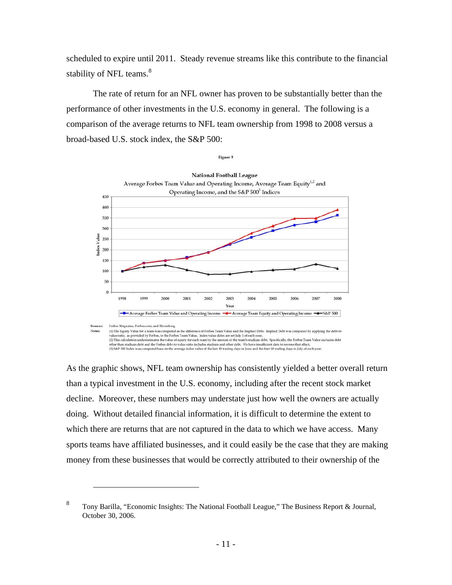scheduled to expire until 2011. Steady revenue streams like this contribute to the financial stability of NFL teams.<sup>8</sup>

The rate of return for an NFL owner has proven to be substantially better than the performance of other investments in the U.S. economy in general. The following is a comparison of the average returns to NFL team ownership from 1998 to 2008 versus a broad-based U.S. stock index, the S&P 500:



As the graphic shows, NFL team ownership has consistently yielded a better overall return than a typical investment in the U.S. economy, including after the recent stock market decline. Moreover, these numbers may understate just how well the owners are actually doing. Without detailed financial information, it is difficult to determine the extent to which there are returns that are not captured in the data to which we have access. Many sports teams have affiliated businesses, and it could easily be the case that they are making money from these businesses that would be correctly attributed to their ownership of the

1

<sup>8</sup> Tony Barilla, "Economic Insights: The National Football League," The Business Report & Journal, October 30, 2006.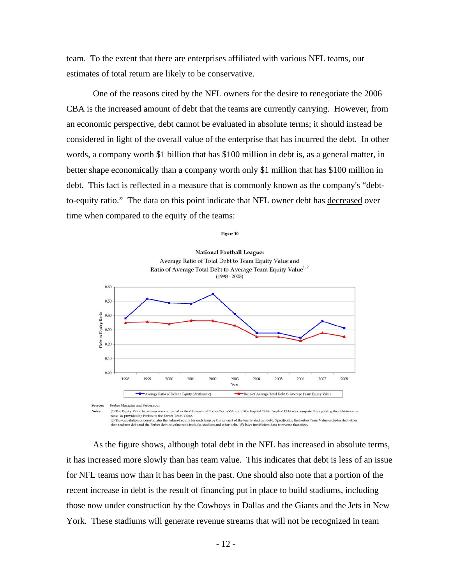team. To the extent that there are enterprises affiliated with various NFL teams, our estimates of total return are likely to be conservative.

One of the reasons cited by the NFL owners for the desire to renegotiate the 2006 CBA is the increased amount of debt that the teams are currently carrying. However, from an economic perspective, debt cannot be evaluated in absolute terms; it should instead be considered in light of the overall value of the enterprise that has incurred the debt. In other words, a company worth \$1 billion that has \$100 million in debt is, as a general matter, in better shape economically than a company worth only \$1 million that has \$100 million in debt. This fact is reflected in a measure that is commonly known as the company's "debtto-equity ratio." The data on this point indicate that NFL owner debt has decreased over time when compared to the equity of the teams:

Figure 10



As the figure shows, although total debt in the NFL has increased in absolute terms, it has increased more slowly than has team value. This indicates that debt is less of an issue for NFL teams now than it has been in the past. One should also note that a portion of the recent increase in debt is the result of financing put in place to build stadiums, including those now under construction by the Cowboys in Dallas and the Giants and the Jets in New York. These stadiums will generate revenue streams that will not be recognized in team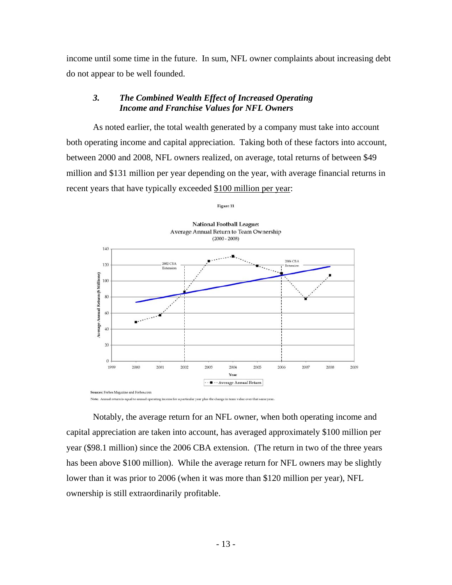income until some time in the future. In sum, NFL owner complaints about increasing debt do not appear to be well founded.

## *3. The Combined Wealth Effect of Increased Operating Income and Franchise Values for NFL Owners*

As noted earlier, the total wealth generated by a company must take into account both operating income and capital appreciation. Taking both of these factors into account, between 2000 and 2008, NFL owners realized, on average, total returns of between \$49 million and \$131 million per year depending on the year, with average financial returns in recent years that have typically exceeded \$100 million per year:



Notably, the average return for an NFL owner, when both operating income and capital appreciation are taken into account, has averaged approximately \$100 million per year (\$98.1 million) since the 2006 CBA extension. (The return in two of the three years has been above \$100 million). While the average return for NFL owners may be slightly lower than it was prior to 2006 (when it was more than \$120 million per year), NFL ownership is still extraordinarily profitable.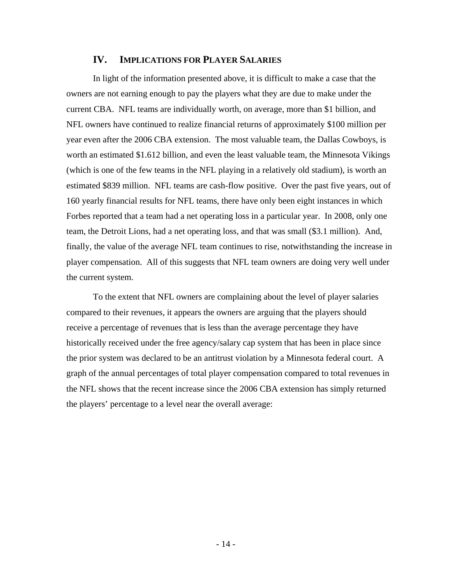### **IV. IMPLICATIONS FOR PLAYER SALARIES**

In light of the information presented above, it is difficult to make a case that the owners are not earning enough to pay the players what they are due to make under the current CBA. NFL teams are individually worth, on average, more than \$1 billion, and NFL owners have continued to realize financial returns of approximately \$100 million per year even after the 2006 CBA extension. The most valuable team, the Dallas Cowboys, is worth an estimated \$1.612 billion, and even the least valuable team, the Minnesota Vikings (which is one of the few teams in the NFL playing in a relatively old stadium), is worth an estimated \$839 million. NFL teams are cash-flow positive. Over the past five years, out of 160 yearly financial results for NFL teams, there have only been eight instances in which Forbes reported that a team had a net operating loss in a particular year. In 2008, only one team, the Detroit Lions, had a net operating loss, and that was small (\$3.1 million). And, finally, the value of the average NFL team continues to rise, notwithstanding the increase in player compensation. All of this suggests that NFL team owners are doing very well under the current system.

To the extent that NFL owners are complaining about the level of player salaries compared to their revenues, it appears the owners are arguing that the players should receive a percentage of revenues that is less than the average percentage they have historically received under the free agency/salary cap system that has been in place since the prior system was declared to be an antitrust violation by a Minnesota federal court. A graph of the annual percentages of total player compensation compared to total revenues in the NFL shows that the recent increase since the 2006 CBA extension has simply returned the players' percentage to a level near the overall average: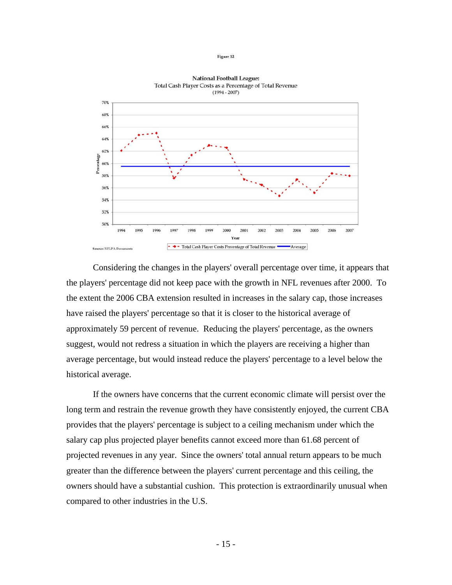



Considering the changes in the players' overall percentage over time, it appears that the players' percentage did not keep pace with the growth in NFL revenues after 2000. To the extent the 2006 CBA extension resulted in increases in the salary cap, those increases have raised the players' percentage so that it is closer to the historical average of approximately 59 percent of revenue. Reducing the players' percentage, as the owners suggest, would not redress a situation in which the players are receiving a higher than average percentage, but would instead reduce the players' percentage to a level below the historical average.

If the owners have concerns that the current economic climate will persist over the long term and restrain the revenue growth they have consistently enjoyed, the current CBA provides that the players' percentage is subject to a ceiling mechanism under which the salary cap plus projected player benefits cannot exceed more than 61.68 percent of projected revenues in any year. Since the owners' total annual return appears to be much greater than the difference between the players' current percentage and this ceiling, the owners should have a substantial cushion. This protection is extraordinarily unusual when compared to other industries in the U.S.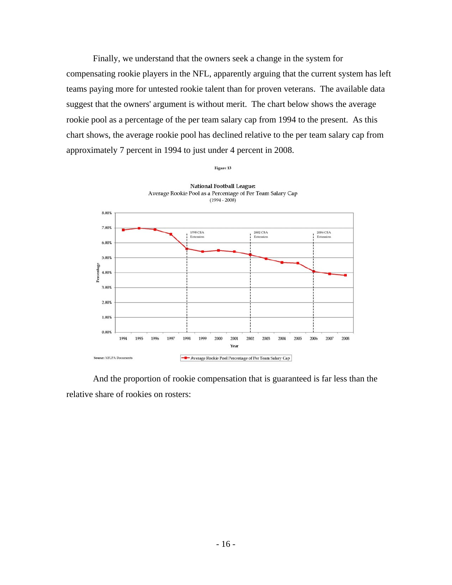Finally, we understand that the owners seek a change in the system for compensating rookie players in the NFL, apparently arguing that the current system has left teams paying more for untested rookie talent than for proven veterans. The available data suggest that the owners' argument is without merit. The chart below shows the average rookie pool as a percentage of the per team salary cap from 1994 to the present. As this chart shows, the average rookie pool has declined relative to the per team salary cap from approximately 7 percent in 1994 to just under 4 percent in 2008.



And the proportion of rookie compensation that is guaranteed is far less than the relative share of rookies on rosters: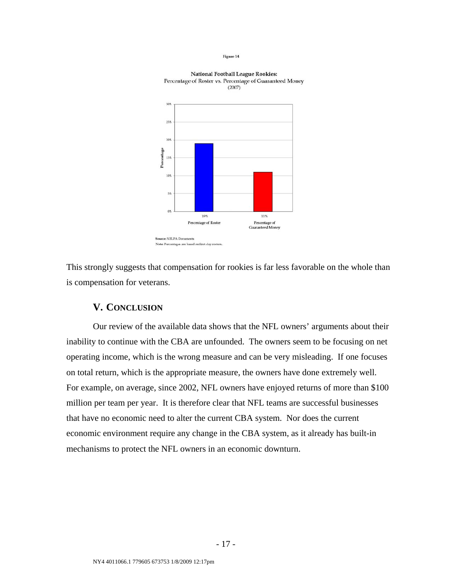

**National Football League Rookies:** Percentage of Roster vs. Percentage of Guaranteed Money

This strongly suggests that compensation for rookies is far less favorable on the whole than is compensation for veterans.

#### **V. CONCLUSION**

Our review of the available data shows that the NFL owners' arguments about their inability to continue with the CBA are unfounded. The owners seem to be focusing on net operating income, which is the wrong measure and can be very misleading. If one focuses on total return, which is the appropriate measure, the owners have done extremely well. For example, on average, since 2002, NFL owners have enjoyed returns of more than \$100 million per team per year. It is therefore clear that NFL teams are successful businesses that have no economic need to alter the current CBA system. Nor does the current economic environment require any change in the CBA system, as it already has built-in mechanisms to protect the NFL owners in an economic downturn.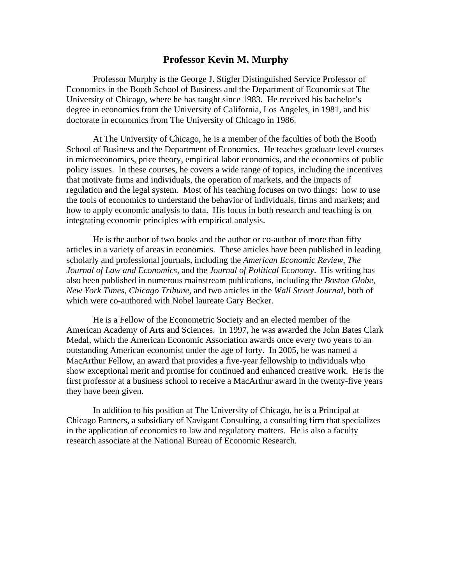## **Professor Kevin M. Murphy**

Professor Murphy is the George J. Stigler Distinguished Service Professor of Economics in the Booth School of Business and the Department of Economics at The University of Chicago, where he has taught since 1983. He received his bachelor's degree in economics from the University of California, Los Angeles, in 1981, and his doctorate in economics from The University of Chicago in 1986.

At The University of Chicago, he is a member of the faculties of both the Booth School of Business and the Department of Economics. He teaches graduate level courses in microeconomics, price theory, empirical labor economics, and the economics of public policy issues. In these courses, he covers a wide range of topics, including the incentives that motivate firms and individuals, the operation of markets, and the impacts of regulation and the legal system. Most of his teaching focuses on two things: how to use the tools of economics to understand the behavior of individuals, firms and markets; and how to apply economic analysis to data. His focus in both research and teaching is on integrating economic principles with empirical analysis.

He is the author of two books and the author or co-author of more than fifty articles in a variety of areas in economics. These articles have been published in leading scholarly and professional journals, including the *American Economic Review*, *The Journal of Law and Economics*, and the *Journal of Political Economy*. His writing has also been published in numerous mainstream publications, including the *Boston Globe*, *New York Times, Chicago Tribune*, and two articles in the *Wall Street Journal*, both of which were co-authored with Nobel laureate Gary Becker.

He is a Fellow of the Econometric Society and an elected member of the American Academy of Arts and Sciences. In 1997, he was awarded the John Bates Clark Medal, which the American Economic Association awards once every two years to an outstanding American economist under the age of forty. In 2005, he was named a MacArthur Fellow, an award that provides a five-year fellowship to individuals who show exceptional merit and promise for continued and enhanced creative work. He is the first professor at a business school to receive a MacArthur award in the twenty-five years they have been given.

In addition to his position at The University of Chicago, he is a Principal at Chicago Partners, a subsidiary of Navigant Consulting, a consulting firm that specializes in the application of economics to law and regulatory matters. He is also a faculty research associate at the National Bureau of Economic Research.